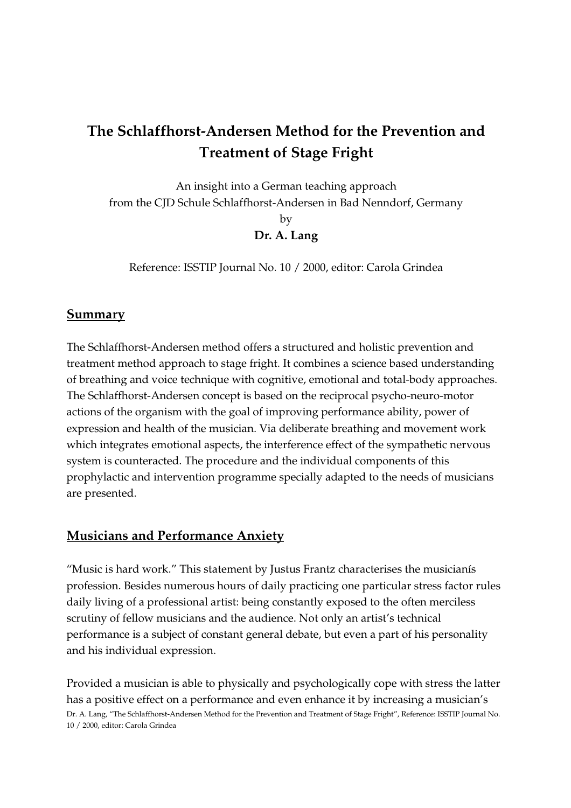# The Schlaffhorst-Andersen Method for the Prevention and Treatment of Stage Fright

An insight into a German teaching approach from the CJD Schule Schlaffhorst-Andersen in Bad Nenndorf, Germany by Dr. A. Lang

Reference: ISSTIP Journal No. 10 / 2000, editor: Carola Grindea

# **Summary**

The Schlaffhorst-Andersen method offers a structured and holistic prevention and treatment method approach to stage fright. It combines a science based understanding of breathing and voice technique with cognitive, emotional and total-body approaches. The Schlaffhorst-Andersen concept is based on the reciprocal psycho-neuro-motor actions of the organism with the goal of improving performance ability, power of expression and health of the musician. Via deliberate breathing and movement work which integrates emotional aspects, the interference effect of the sympathetic nervous system is counteracted. The procedure and the individual components of this prophylactic and intervention programme specially adapted to the needs of musicians are presented.

# Musicians and Performance Anxiety

"Music is hard work." This statement by Justus Frantz characterises the musicianís profession. Besides numerous hours of daily practicing one particular stress factor rules daily living of a professional artist: being constantly exposed to the often merciless scrutiny of fellow musicians and the audience. Not only an artist's technical performance is a subject of constant general debate, but even a part of his personality and his individual expression.

Dr. A. Lang, "The Schlaffhorst-Andersen Method for the Prevention and Treatment of Stage Fright", Reference: ISSTIP Journal No. 10 / 2000, editor: Carola Grindea Provided a musician is able to physically and psychologically cope with stress the latter has a positive effect on a performance and even enhance it by increasing a musician's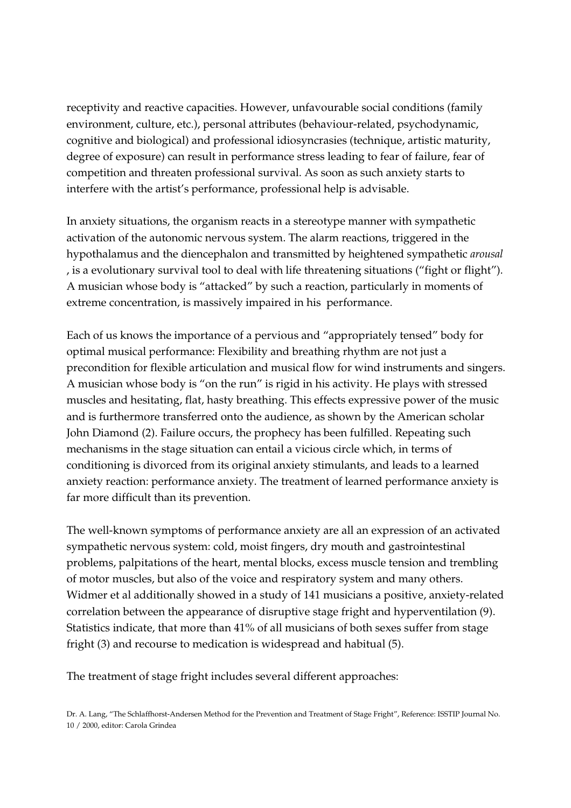receptivity and reactive capacities. However, unfavourable social conditions (family environment, culture, etc.), personal attributes (behaviour-related, psychodynamic, cognitive and biological) and professional idiosyncrasies (technique, artistic maturity, degree of exposure) can result in performance stress leading to fear of failure, fear of competition and threaten professional survival. As soon as such anxiety starts to interfere with the artist's performance, professional help is advisable.

In anxiety situations, the organism reacts in a stereotype manner with sympathetic activation of the autonomic nervous system. The alarm reactions, triggered in the hypothalamus and the diencephalon and transmitted by heightened sympathetic arousal , is a evolutionary survival tool to deal with life threatening situations ("fight or flight"). A musician whose body is "attacked" by such a reaction, particularly in moments of extreme concentration, is massively impaired in his performance.

Each of us knows the importance of a pervious and "appropriately tensed" body for optimal musical performance: Flexibility and breathing rhythm are not just a precondition for flexible articulation and musical flow for wind instruments and singers. A musician whose body is "on the run" is rigid in his activity. He plays with stressed muscles and hesitating, flat, hasty breathing. This effects expressive power of the music and is furthermore transferred onto the audience, as shown by the American scholar John Diamond (2). Failure occurs, the prophecy has been fulfilled. Repeating such mechanisms in the stage situation can entail a vicious circle which, in terms of conditioning is divorced from its original anxiety stimulants, and leads to a learned anxiety reaction: performance anxiety. The treatment of learned performance anxiety is far more difficult than its prevention.

The well-known symptoms of performance anxiety are all an expression of an activated sympathetic nervous system: cold, moist fingers, dry mouth and gastrointestinal problems, palpitations of the heart, mental blocks, excess muscle tension and trembling of motor muscles, but also of the voice and respiratory system and many others. Widmer et al additionally showed in a study of 141 musicians a positive, anxiety-related correlation between the appearance of disruptive stage fright and hyperventilation (9). Statistics indicate, that more than 41% of all musicians of both sexes suffer from stage fright (3) and recourse to medication is widespread and habitual (5).

The treatment of stage fright includes several different approaches: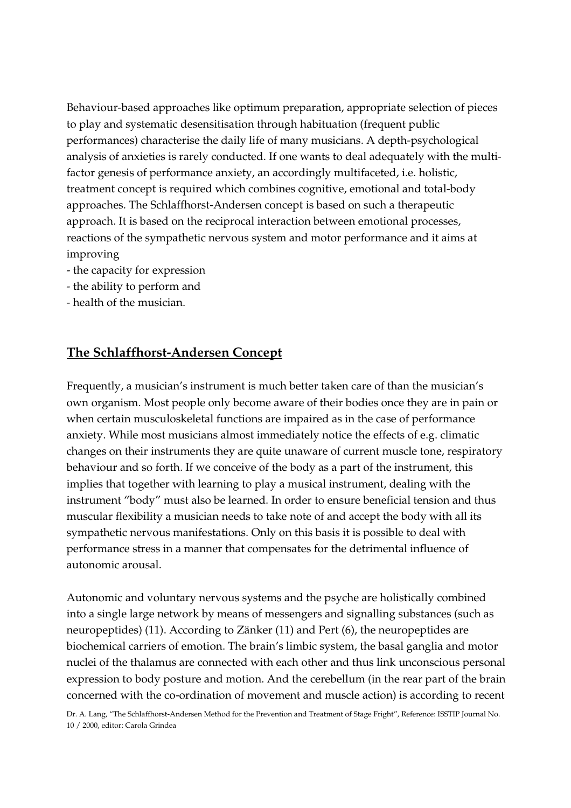Behaviour-based approaches like optimum preparation, appropriate selection of pieces to play and systematic desensitisation through habituation (frequent public performances) characterise the daily life of many musicians. A depth-psychological analysis of anxieties is rarely conducted. If one wants to deal adequately with the multifactor genesis of performance anxiety, an accordingly multifaceted, i.e. holistic, treatment concept is required which combines cognitive, emotional and total-body approaches. The Schlaffhorst-Andersen concept is based on such a therapeutic approach. It is based on the reciprocal interaction between emotional processes, reactions of the sympathetic nervous system and motor performance and it aims at improving

- the capacity for expression
- the ability to perform and
- health of the musician.

### The Schlaffhorst-Andersen Concept

Frequently, a musician's instrument is much better taken care of than the musician's own organism. Most people only become aware of their bodies once they are in pain or when certain musculoskeletal functions are impaired as in the case of performance anxiety. While most musicians almost immediately notice the effects of e.g. climatic changes on their instruments they are quite unaware of current muscle tone, respiratory behaviour and so forth. If we conceive of the body as a part of the instrument, this implies that together with learning to play a musical instrument, dealing with the instrument "body" must also be learned. In order to ensure beneficial tension and thus muscular flexibility a musician needs to take note of and accept the body with all its sympathetic nervous manifestations. Only on this basis it is possible to deal with performance stress in a manner that compensates for the detrimental influence of autonomic arousal.

Autonomic and voluntary nervous systems and the psyche are holistically combined into a single large network by means of messengers and signalling substances (such as neuropeptides) (11). According to Zänker (11) and Pert (6), the neuropeptides are biochemical carriers of emotion. The brain's limbic system, the basal ganglia and motor nuclei of the thalamus are connected with each other and thus link unconscious personal expression to body posture and motion. And the cerebellum (in the rear part of the brain concerned with the co-ordination of movement and muscle action) is according to recent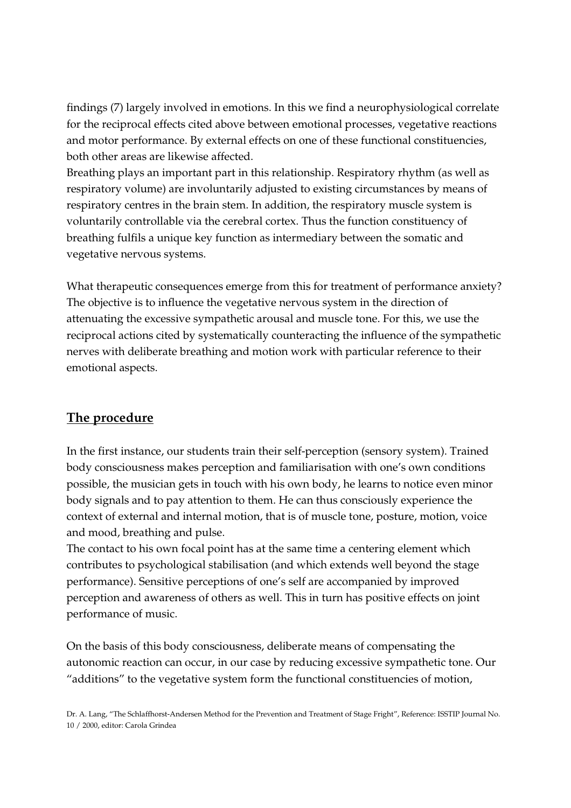findings (7) largely involved in emotions. In this we find a neurophysiological correlate for the reciprocal effects cited above between emotional processes, vegetative reactions and motor performance. By external effects on one of these functional constituencies, both other areas are likewise affected.

Breathing plays an important part in this relationship. Respiratory rhythm (as well as respiratory volume) are involuntarily adjusted to existing circumstances by means of respiratory centres in the brain stem. In addition, the respiratory muscle system is voluntarily controllable via the cerebral cortex. Thus the function constituency of breathing fulfils a unique key function as intermediary between the somatic and vegetative nervous systems.

What therapeutic consequences emerge from this for treatment of performance anxiety? The objective is to influence the vegetative nervous system in the direction of attenuating the excessive sympathetic arousal and muscle tone. For this, we use the reciprocal actions cited by systematically counteracting the influence of the sympathetic nerves with deliberate breathing and motion work with particular reference to their emotional aspects.

# The procedure

In the first instance, our students train their self-perception (sensory system). Trained body consciousness makes perception and familiarisation with one's own conditions possible, the musician gets in touch with his own body, he learns to notice even minor body signals and to pay attention to them. He can thus consciously experience the context of external and internal motion, that is of muscle tone, posture, motion, voice and mood, breathing and pulse.

The contact to his own focal point has at the same time a centering element which contributes to psychological stabilisation (and which extends well beyond the stage performance). Sensitive perceptions of one's self are accompanied by improved perception and awareness of others as well. This in turn has positive effects on joint performance of music.

On the basis of this body consciousness, deliberate means of compensating the autonomic reaction can occur, in our case by reducing excessive sympathetic tone. Our "additions" to the vegetative system form the functional constituencies of motion,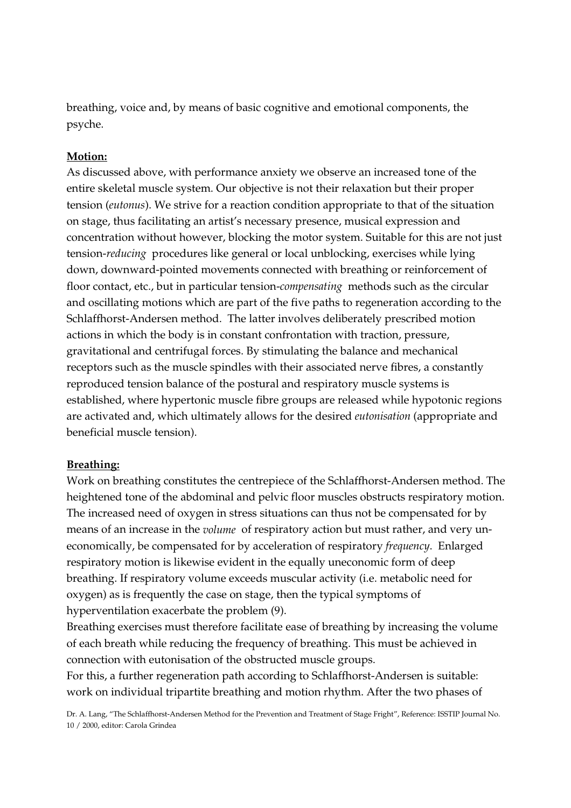breathing, voice and, by means of basic cognitive and emotional components, the psyche.

#### Motion:

As discussed above, with performance anxiety we observe an increased tone of the entire skeletal muscle system. Our objective is not their relaxation but their proper tension (eutonus). We strive for a reaction condition appropriate to that of the situation on stage, thus facilitating an artist's necessary presence, musical expression and concentration without however, blocking the motor system. Suitable for this are not just tension-reducing procedures like general or local unblocking, exercises while lying down, downward-pointed movements connected with breathing or reinforcement of floor contact, etc., but in particular tension-compensating methods such as the circular and oscillating motions which are part of the five paths to regeneration according to the Schlaffhorst-Andersen method. The latter involves deliberately prescribed motion actions in which the body is in constant confrontation with traction, pressure, gravitational and centrifugal forces. By stimulating the balance and mechanical receptors such as the muscle spindles with their associated nerve fibres, a constantly reproduced tension balance of the postural and respiratory muscle systems is established, where hypertonic muscle fibre groups are released while hypotonic regions are activated and, which ultimately allows for the desired eutonisation (appropriate and beneficial muscle tension).

#### Breathing:

Work on breathing constitutes the centrepiece of the Schlaffhorst-Andersen method. The heightened tone of the abdominal and pelvic floor muscles obstructs respiratory motion. The increased need of oxygen in stress situations can thus not be compensated for by means of an increase in the volume of respiratory action but must rather, and very uneconomically, be compensated for by acceleration of respiratory frequency. Enlarged respiratory motion is likewise evident in the equally uneconomic form of deep breathing. If respiratory volume exceeds muscular activity (i.e. metabolic need for oxygen) as is frequently the case on stage, then the typical symptoms of hyperventilation exacerbate the problem (9).

Breathing exercises must therefore facilitate ease of breathing by increasing the volume of each breath while reducing the frequency of breathing. This must be achieved in connection with eutonisation of the obstructed muscle groups.

For this, a further regeneration path according to Schlaffhorst-Andersen is suitable: work on individual tripartite breathing and motion rhythm. After the two phases of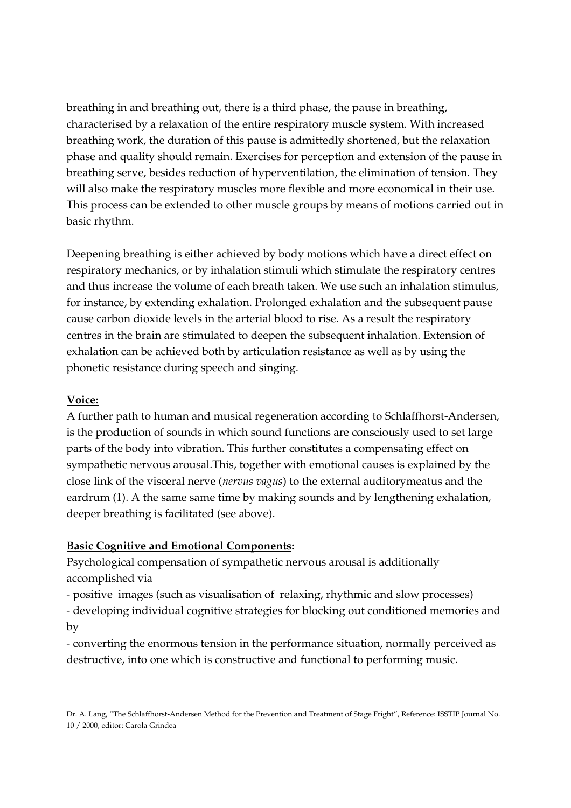breathing in and breathing out, there is a third phase, the pause in breathing, characterised by a relaxation of the entire respiratory muscle system. With increased breathing work, the duration of this pause is admittedly shortened, but the relaxation phase and quality should remain. Exercises for perception and extension of the pause in breathing serve, besides reduction of hyperventilation, the elimination of tension. They will also make the respiratory muscles more flexible and more economical in their use. This process can be extended to other muscle groups by means of motions carried out in basic rhythm.

Deepening breathing is either achieved by body motions which have a direct effect on respiratory mechanics, or by inhalation stimuli which stimulate the respiratory centres and thus increase the volume of each breath taken. We use such an inhalation stimulus, for instance, by extending exhalation. Prolonged exhalation and the subsequent pause cause carbon dioxide levels in the arterial blood to rise. As a result the respiratory centres in the brain are stimulated to deepen the subsequent inhalation. Extension of exhalation can be achieved both by articulation resistance as well as by using the phonetic resistance during speech and singing.

#### Voice:

A further path to human and musical regeneration according to Schlaffhorst-Andersen, is the production of sounds in which sound functions are consciously used to set large parts of the body into vibration. This further constitutes a compensating effect on sympathetic nervous arousal.This, together with emotional causes is explained by the close link of the visceral nerve (nervus vagus) to the external auditorymeatus and the eardrum (1). A the same same time by making sounds and by lengthening exhalation, deeper breathing is facilitated (see above).

#### Basic Cognitive and Emotional Components:

Psychological compensation of sympathetic nervous arousal is additionally accomplished via

- positive images (such as visualisation of relaxing, rhythmic and slow processes)

- developing individual cognitive strategies for blocking out conditioned memories and by

- converting the enormous tension in the performance situation, normally perceived as destructive, into one which is constructive and functional to performing music.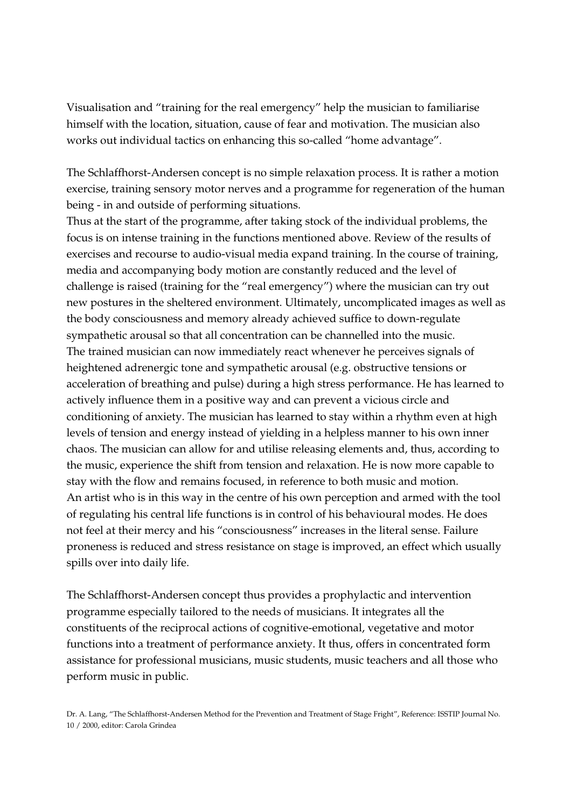Visualisation and "training for the real emergency" help the musician to familiarise himself with the location, situation, cause of fear and motivation. The musician also works out individual tactics on enhancing this so-called "home advantage".

The Schlaffhorst-Andersen concept is no simple relaxation process. It is rather a motion exercise, training sensory motor nerves and a programme for regeneration of the human being - in and outside of performing situations.

Thus at the start of the programme, after taking stock of the individual problems, the focus is on intense training in the functions mentioned above. Review of the results of exercises and recourse to audio-visual media expand training. In the course of training, media and accompanying body motion are constantly reduced and the level of challenge is raised (training for the "real emergency") where the musician can try out new postures in the sheltered environment. Ultimately, uncomplicated images as well as the body consciousness and memory already achieved suffice to down-regulate sympathetic arousal so that all concentration can be channelled into the music. The trained musician can now immediately react whenever he perceives signals of heightened adrenergic tone and sympathetic arousal (e.g. obstructive tensions or acceleration of breathing and pulse) during a high stress performance. He has learned to actively influence them in a positive way and can prevent a vicious circle and conditioning of anxiety. The musician has learned to stay within a rhythm even at high levels of tension and energy instead of yielding in a helpless manner to his own inner chaos. The musician can allow for and utilise releasing elements and, thus, according to the music, experience the shift from tension and relaxation. He is now more capable to stay with the flow and remains focused, in reference to both music and motion. An artist who is in this way in the centre of his own perception and armed with the tool of regulating his central life functions is in control of his behavioural modes. He does not feel at their mercy and his "consciousness" increases in the literal sense. Failure proneness is reduced and stress resistance on stage is improved, an effect which usually spills over into daily life.

The Schlaffhorst-Andersen concept thus provides a prophylactic and intervention programme especially tailored to the needs of musicians. It integrates all the constituents of the reciprocal actions of cognitive-emotional, vegetative and motor functions into a treatment of performance anxiety. It thus, offers in concentrated form assistance for professional musicians, music students, music teachers and all those who perform music in public.